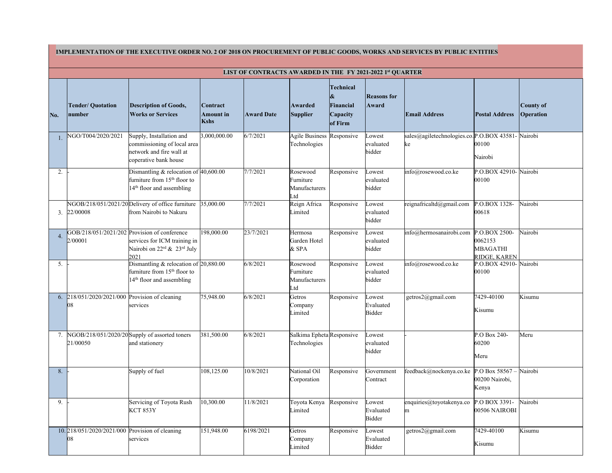|                                                           |                                                       | IMPLEMENTATION OF THE EXECUTIVE ORDER NO. 2 OF 2018 ON PROCUREMENT OF PUBLIC GOODS, WORKS AND SERVICES BY PUBLIC ENTITIES       |                                             |                   |                                               |                                                      |                               |                                                 |                                                      |                               |
|-----------------------------------------------------------|-------------------------------------------------------|---------------------------------------------------------------------------------------------------------------------------------|---------------------------------------------|-------------------|-----------------------------------------------|------------------------------------------------------|-------------------------------|-------------------------------------------------|------------------------------------------------------|-------------------------------|
| LIST OF CONTRACTS AWARDED IN THE FY 2021-2022 1st QUARTER |                                                       |                                                                                                                                 |                                             |                   |                                               |                                                      |                               |                                                 |                                                      |                               |
| No.                                                       | <b>Tender/ Quotation</b><br>number                    | Description of Goods,<br><b>Works or Services</b>                                                                               | Contract<br><b>Amount</b> in<br><b>Kshs</b> | <b>Award Date</b> | Awarded<br><b>Supplier</b>                    | Technical<br>Financial<br><b>Capacity</b><br>of Firm | <b>Reasons for</b><br>Award   | <b>Email Address</b>                            | <b>Postal Address</b>                                | County of<br><b>Operation</b> |
|                                                           | VGO/T004/2020/2021                                    | Supply, Installation and<br>commissioning of local area<br>network and fire wall at<br>coperative bank house                    | 3,000,000.00                                | 6/7/2021          | Agile Business Responsive<br>Technologies     |                                                      | Lowest<br>evaluated<br>bidder | sales@agiletechnologies.co.P.O.BOX 43581-<br>ke | 00100<br>Nairobi                                     | Nairobi                       |
| 2.                                                        |                                                       | Dismantling & relocation of $ 40,600.00 $<br>furniture from 15 <sup>th</sup> floor to<br>14 <sup>th</sup> floor and assembling  |                                             | 7/7/2021          | Rosewood<br>Furniture<br>Manufacturers<br>Ltd | Responsive                                           | owest<br>evaluated<br>bidder  | info@rosewood.co.ke                             | P.O.BOX 42910-<br>00100                              | Nairobi                       |
|                                                           | $3. \ \ 22/00008$                                     | NGOB/218/051/2021/20 Delivery of office furniture<br>from Nairobi to Nakuru                                                     | 35,000.00                                   | 7/7/2021          | Reign Africa<br>Limited                       | Responsive                                           | Lowest<br>evaluated<br>bidder | reignafricaltd@gmail.com                        | P.O.BOX 1328-<br>00618                               | Nairobi                       |
| 4.                                                        | 2/00001                                               | GOB/218/051/2021/202 Provision of conference<br>services for ICM training in<br>Nairobi on $22^{rd}$ & $23^{rd}$ July<br>2021   | 198,000.00                                  | 23/7/2021         | Hermosa<br>Garden Hotel<br>$&$ SPA            | Responsive                                           | owest<br>evaluated<br>bidder  | info@hermosanairobi.com                         | P.O.BOX 2500-<br>0062153<br>MBAGATHI<br>RIDGE, KAREN | Nairobi                       |
| 5.                                                        |                                                       | Dismantling $\&$ relocation of $20,880.00$<br>furniture from 15 <sup>th</sup> floor to<br>14 <sup>th</sup> floor and assembling |                                             | 6/8/2021          | Rosewood<br>Furniture<br>Manufacturers<br>Ltd | Responsive                                           | owest<br>evaluated<br>bidder  | info@rosewood.co.ke                             | P.O.BOX 42910- Nairobi<br>00100                      |                               |
|                                                           | 6. 218/051/2020/2021/000 Provision of cleaning<br>08  | services                                                                                                                        | 75,948.00                                   | 6/8/2021          | Getros<br>Company<br>Limited                  | Responsive                                           | owest<br>Evaluated<br>Bidder  | getros2@gmail.com                               | 7429-40100<br>Kisumu                                 | Kisumu                        |
| 7.                                                        | 21/00050                                              | NGOB/218/051/2020/20 Supply of assorted toners<br>and stationery                                                                | 381,500.00                                  | 6/8/2021          | Salkima Epheta Responsive<br>Technologies     |                                                      | Lowest<br>evaluated<br>bidder |                                                 | P.O Box 240-<br>60200<br>Meru                        | Meru                          |
| 8.                                                        |                                                       | Supply of fuel                                                                                                                  | 108,125.00                                  | 10/8/2021         | National Oil<br>Corporation                   | Responsive                                           | Government<br>Contract        | feedback@nockenya.co.ke                         | P.O Box 58567<br>00200 Nairobi,<br>Kenya             | Nairobi                       |
| 9.                                                        |                                                       | Servicing of Toyota Rush<br><b>KCT 853Y</b>                                                                                     | 10,300.00                                   | 11/8/2021         | Toyota Kenya<br>Limited                       | Responsive                                           | Lowest<br>Evaluated<br>Bidder | enquiries@toyotakenya.co<br>m                   | P.O BOX 3391-<br>00506 NAIROBI                       | Nairobi                       |
|                                                           | 10. 218/051/2020/2021/000 Provision of cleaning<br>08 | services                                                                                                                        | 151,948.00                                  | 6198/2021         | Getros<br>Company<br>Limited                  | Responsive                                           | owest<br>Evaluated<br>Bidder  | getros2@gmail.com                               | 7429-40100<br>Kisumu                                 | Kisumu                        |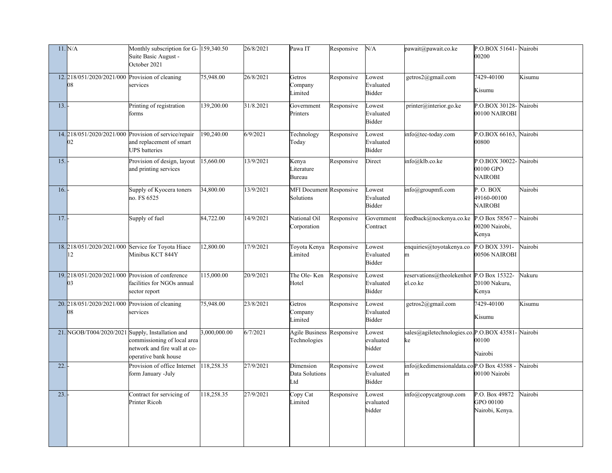|     | 11. N/A                                                | Monthly subscription for G- 159,340.50<br>Suite Basic August -<br>October 2021                            |              | 26/8/2021 | Pawa IT                                   | Responsive | N/A                           | pawait@pawait.co.ke                                    | P.O.BOX 51641- Nairobi<br>00200                |         |
|-----|--------------------------------------------------------|-----------------------------------------------------------------------------------------------------------|--------------|-----------|-------------------------------------------|------------|-------------------------------|--------------------------------------------------------|------------------------------------------------|---------|
|     | 12. 218/051/2020/2021/000 Provision of cleaning<br>08  | services                                                                                                  | 75,948.00    | 26/8/2021 | Getros<br>Company<br>Limited              | Responsive | Lowest<br>Evaluated<br>Bidder | getros2@gmail.com                                      | 7429-40100<br>Kisumu                           | Kisumu  |
| 13. |                                                        | Printing of registration<br>forms                                                                         | 139,200.00   | 31/8.2021 | Government<br>Printers                    | Responsive | Lowest<br>Evaluated<br>Bidder | printer@interior.go.ke                                 | P.O.BOX 30128- Nairobi<br>00100 NAIROBI        |         |
|     | 02                                                     | 14. 218/051/2020/2021/000 Provision of service/repair<br>and replacement of smart<br><b>UPS</b> batteries | 190,240.00   | 6/9/2021  | Technology<br>Today                       | Responsive | Lowest<br>Evaluated<br>Bidder | $info@$ tec-today.com                                  | P.O.BOX 66163,<br>00800                        | Nairobi |
| 15. |                                                        | Provision of design, layout<br>and printing services                                                      | 15,660.00    | 13/9/2021 | Kenya<br>Literature<br>Bureau             | Responsive | Direct                        | info@klb.co.ke                                         | P.O.BOX 30022-<br>00100 GPO<br><b>NAIROBI</b>  | Nairobi |
| 16. |                                                        | Supply of Kyocera toners<br>no. FS 6525                                                                   | 34,800.00    | 13/9/2021 | MFI Document Responsive<br>Solutions      |            | owest<br>Evaluated<br>Bidder  | info@groupmfi.com                                      | P. O. BOX<br>49160-00100<br><b>NAIROBI</b>     | Nairobi |
| 17. |                                                        | Supply of fuel                                                                                            | 84,722.00    | 14/9/2021 | National Oil<br>Corporation               | Responsive | Government<br>Contract        | feedback@nockenya.co.ke                                | P.O Box $58567 -$<br>00200 Nairobi,<br>Kenya   | Nairobi |
|     | 12                                                     | 18. 218/051/2020/2021/000 Service for Toyota Hiace<br>Minibus KCT 844Y                                    | 12,800.00    | 17/9/2021 | Toyota Kenya<br>Limited                   | Responsive | Lowest<br>Evaluated<br>Bidder | enquiries@toyotakenya.co<br>m                          | P.O BOX 3391-<br>00506 NAIROBI                 | Nairobi |
|     | 19. 218/051/2020/2021/000 Provision of conference      | facilities for NGOs annual<br>sector report                                                               | 115,000.00   | 20/9/2021 | The Ole-Ken Responsive<br>Hotel           |            | Lowest<br>Evaluated<br>Bidder | reservations@theolekenhot $P.O$ Box 15322-<br>el.co.ke | 20100 Nakuru,<br>Kenya                         | Nakuru  |
|     | 20. 218/051/2020/2021/000 Provision of cleaning<br> 08 | services                                                                                                  | 75,948.00    | 23/8/2021 | Getros<br>Company<br>Limited              | Responsive | Lowest<br>Evaluated<br>Bidder | getros2@gmail.com                                      | 7429-40100<br>Kisumu                           | Kisumu  |
|     | 21. NGOB/T004/2020/2021 Supply, Installation and       | commissioning of local area<br>network and fire wall at co-<br>operative bank house                       | 3,000,000.00 | 6/7/2021  | Agile Business Responsive<br>Technologies |            | Lowest<br>evaluated<br>bidder | sales@agiletechnologies.co.P.O.BOX 43581-<br>ke        | 00100<br>Nairobi                               | Nairobi |
| 22. |                                                        | Provision of office Internet<br>form January -July                                                        | 118,258.35   | 27/9/2021 | Dimension<br>Data Solutions<br>Ltd        | Responsive | Lowest<br>Evaluated<br>Bidder | info@kedimensionaldata.coP.O Box 43588 -<br>m          | 00100 Nairobi                                  | Nairobi |
| 23. |                                                        | Contract for servicing of<br>Printer Ricoh                                                                | 118,258.35   | 27/9/2021 | Copy Cat<br>Limited                       | Responsive | Lowest<br>evaluated<br>bidder | info@copycatgroup.com                                  | P.O. Box 49872<br>GPO 00100<br>Nairobi, Kenya. | Nairobi |